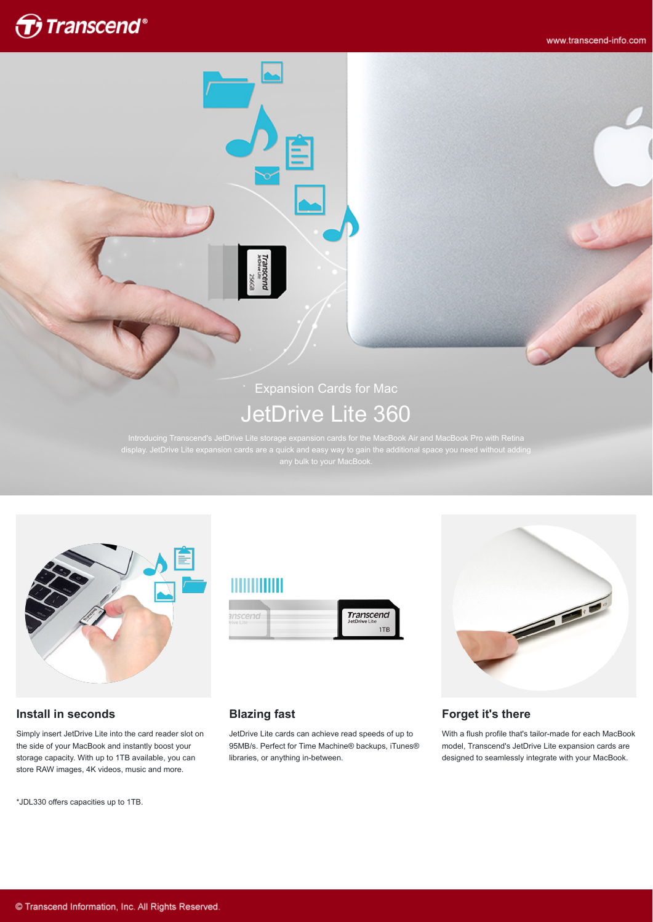

www.transcend-info.com

# Expansion Cards for Mac JetDrive Lite 360

display. JetDrive Lite expansion cards are a quick and easy way to gain the additional space you need without adding



#### **Install in seconds**

Simply insert JetDrive Lite into the card reader slot on the side of your MacBook and instantly boost your storage capacity. With up to 1TB available, you can store RAW images, 4K videos, music and more.

\*JDL330 offers capacities up to 1TB.

# **HIIIIIII**

ranscenc





## **Blazing fast**

JetDrive Lite cards can achieve read speeds of up to 95MB/s. Perfect for Time Machine® backups, iTunes® libraries, or anything in-between.

#### **Forget it's there**

With a flush profile that's tailor-made for each MacBook model, Transcend's JetDrive Lite expansion cards are designed to seamlessly integrate with your MacBook.